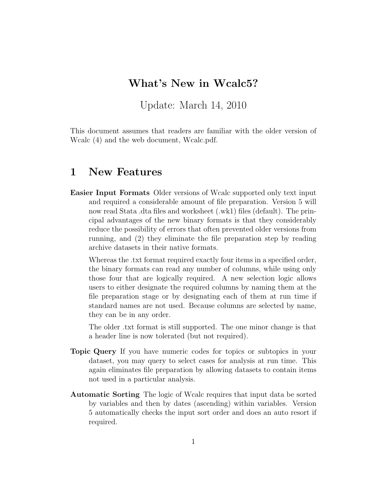### What's New in Wcalc5?

Update: March 14, 2010

This document assumes that readers are familiar with the older version of Wcalc (4) and the web document, Wcalc.pdf.

#### 1 New Features

Easier Input Formats Older versions of Wcalc supported only text input and required a considerable amount of file preparation. Version 5 will now read Stata .dta files and worksheet (.wk1) files (default). The principal advantages of the new binary formats is that they considerably reduce the possibility of errors that often prevented older versions from running, and (2) they eliminate the file preparation step by reading archive datasets in their native formats.

Whereas the .txt format required exactly four items in a specified order, the binary formats can read any number of columns, while using only those four that are logically required. A new selection logic allows users to either designate the required columns by naming them at the file preparation stage or by designating each of them at run time if standard names are not used. Because columns are selected by name, they can be in any order.

The older .txt format is still supported. The one minor change is that a header line is now tolerated (but not required).

- Topic Query If you have numeric codes for topics or subtopics in your dataset, you may query to select cases for analysis at run time. This again eliminates file preparation by allowing datasets to contain items not used in a particular analysis.
- Automatic Sorting The logic of Wcalc requires that input data be sorted by variables and then by dates (ascending) within variables. Version 5 automatically checks the input sort order and does an auto resort if required.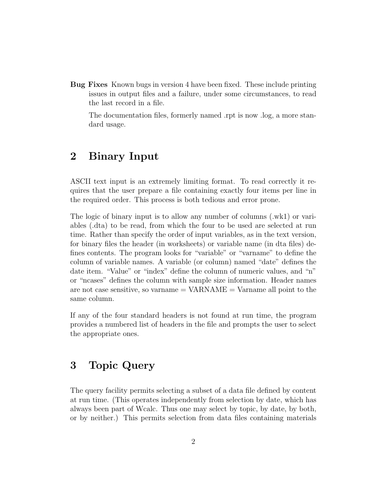Bug Fixes Known bugs in version 4 have been fixed. These include printing issues in output files and a failure, under some circumstances, to read the last record in a file.

The documentation files, formerly named .rpt is now .log, a more standard usage.

## 2 Binary Input

ASCII text input is an extremely limiting format. To read correctly it requires that the user prepare a file containing exactly four items per line in the required order. This process is both tedious and error prone.

The logic of binary input is to allow any number of columns (.wk1) or variables (.dta) to be read, from which the four to be used are selected at run time. Rather than specify the order of input variables, as in the text version, for binary files the header (in worksheets) or variable name (in dta files) defines contents. The program looks for "variable" or "varname" to define the column of variable names. A variable (or column) named "date" defines the date item. "Value" or "index" define the column of numeric values, and "n" or "ncases" defines the column with sample size information. Header names are not case sensitive, so varname  $=$  VARNAME  $=$  Varname all point to the same column.

If any of the four standard headers is not found at run time, the program provides a numbered list of headers in the file and prompts the user to select the appropriate ones.

# 3 Topic Query

The query facility permits selecting a subset of a data file defined by content at run time. (This operates independently from selection by date, which has always been part of Wcalc. Thus one may select by topic, by date, by both, or by neither.) This permits selection from data files containing materials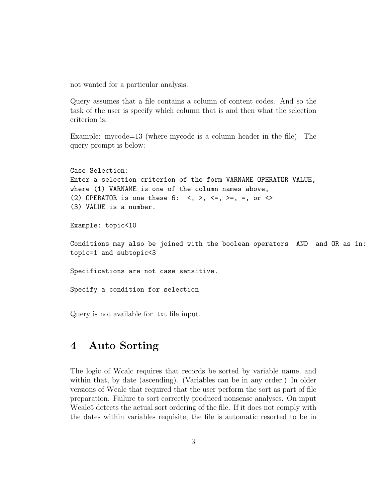not wanted for a particular analysis.

Query assumes that a file contains a column of content codes. And so the task of the user is specify which column that is and then what the selection criterion is.

Example: mycode=13 (where mycode is a column header in the file). The query prompt is below:

```
Case Selection:
Enter a selection criterion of the form VARNAME OPERATOR VALUE,
where (1) VARNAME is one of the column names above,
(2) OPERATOR is one these 6: \langle , \rangle, \langle = , \rangle = , =, or \langle >(3) VALUE is a number.
Example: topic<10
Conditions may also be joined with the boolean operators AND and OR as in:
topic=1 and subtopic<3
Specifications are not case sensitive.
Specify a condition for selection
```
Query is not available for .txt file input.

#### 4 Auto Sorting

The logic of Wcalc requires that records be sorted by variable name, and within that, by date (ascending). (Variables can be in any order.) In older versions of Wcalc that required that the user perform the sort as part of file preparation. Failure to sort correctly produced nonsense analyses. On input Wcalc5 detects the actual sort ordering of the file. If it does not comply with the dates within variables requisite, the file is automatic resorted to be in